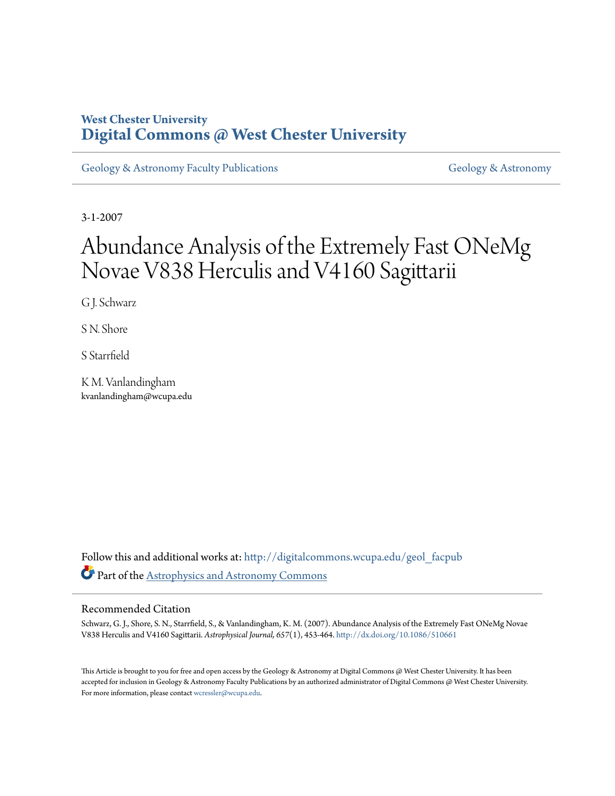# **West Chester University [Digital Commons @ West Chester University](http://digitalcommons.wcupa.edu?utm_source=digitalcommons.wcupa.edu%2Fgeol_facpub%2F3&utm_medium=PDF&utm_campaign=PDFCoverPages)**

[Geology & Astronomy Faculty Publications](http://digitalcommons.wcupa.edu/geol_facpub?utm_source=digitalcommons.wcupa.edu%2Fgeol_facpub%2F3&utm_medium=PDF&utm_campaign=PDFCoverPages) [Geology & Astronomy](http://digitalcommons.wcupa.edu/geol?utm_source=digitalcommons.wcupa.edu%2Fgeol_facpub%2F3&utm_medium=PDF&utm_campaign=PDFCoverPages)

3-1-2007

# Abundance Analysis of the Extremely Fast ONeMg Novae V838 Herculis and V4160 Sagittarii

G J. Schwarz

S N. Shore

S Starrfield

K M. Vanlandingham kvanlandingham@wcupa.edu

Follow this and additional works at: [http://digitalcommons.wcupa.edu/geol\\_facpub](http://digitalcommons.wcupa.edu/geol_facpub?utm_source=digitalcommons.wcupa.edu%2Fgeol_facpub%2F3&utm_medium=PDF&utm_campaign=PDFCoverPages) Part of the [Astrophysics and Astronomy Commons](http://network.bepress.com/hgg/discipline/123?utm_source=digitalcommons.wcupa.edu%2Fgeol_facpub%2F3&utm_medium=PDF&utm_campaign=PDFCoverPages)

# Recommended Citation

Schwarz, G. J., Shore, S. N., Starrfield, S., & Vanlandingham, K. M. (2007). Abundance Analysis of the Extremely Fast ONeMg Novae V838 Herculis and V4160 Sagittarii. *Astrophysical Journal, 657*(1), 453-464. <http://dx.doi.org/10.1086/510661>

This Article is brought to you for free and open access by the Geology & Astronomy at Digital Commons @ West Chester University. It has been accepted for inclusion in Geology & Astronomy Faculty Publications by an authorized administrator of Digital Commons @ West Chester University. For more information, please contact [wcressler@wcupa.edu](mailto:wcressler@wcupa.edu).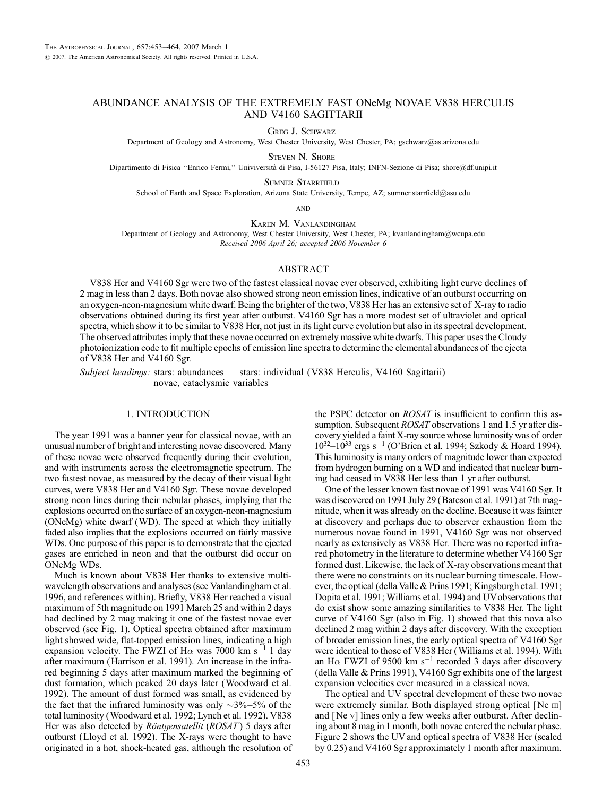## ABUNDANCE ANALYSIS OF THE EXTREMELY FAST ONeMg NOVAE V838 HERCULIS AND V4160 SAGITTARII

Greg J. Schwarz

Department of Geology and Astronomy, West Chester University, West Chester, PA; gschwarz@as.arizona.edu

Steven N. Shore

Dipartimento di Fisica ''Enrico Fermi,'' Univiversita` di Pisa, I-56127 Pisa, Italy; INFN-Sezione di Pisa; shore@df.unipi.it

Sumner Starrfield

School of Earth and Space Exploration, Arizona State University, Tempe, AZ; sumner.starrfield@asu.edu

**AND** 

Karen M. Vanlandingham

Department of Geology and Astronomy, West Chester University, West Chester, PA; kvanlandingham@wcupa.edu Received 2006 April 26; accepted 2006 November 6

#### ABSTRACT

V838 Her and V4160 Sgr were two of the fastest classical novae ever observed, exhibiting light curve declines of 2 mag in less than 2 days. Both novae also showed strong neon emission lines, indicative of an outburst occurring on an oxygen-neon-magnesium white dwarf. Being the brighter of the two, V838 Her has an extensive set of X-ray to radio observations obtained during its first year after outburst. V4160 Sgr has a more modest set of ultraviolet and optical spectra, which show it to be similar to V838 Her, not just in its light curve evolution but also in its spectral development. The observed attributes imply that these novae occurred on extremely massive white dwarfs. This paper uses the Cloudy photoionization code to fit multiple epochs of emission line spectra to determine the elemental abundances of the ejecta of V838 Her and V4160 Sgr.

Subject headings: stars: abundances — stars: individual (V838 Herculis, V4160 Sagittarii) novae, cataclysmic variables

#### 1. INTRODUCTION

The year 1991 was a banner year for classical novae, with an unusual number of bright and interesting novae discovered. Many of these novae were observed frequently during their evolution, and with instruments across the electromagnetic spectrum. The two fastest novae, as measured by the decay of their visual light curves, were V838 Her and V4160 Sgr. These novae developed strong neon lines during their nebular phases, implying that the explosions occurred on the surface of an oxygen-neon-magnesium (ONeMg) white dwarf (WD). The speed at which they initially faded also implies that the explosions occurred on fairly massive WDs. One purpose of this paper is to demonstrate that the ejected gases are enriched in neon and that the outburst did occur on ONeMg WDs.

Much is known about V838 Her thanks to extensive multiwavelength observations and analyses (see Vanlandingham et al. 1996, and references within). Briefly, V838 Her reached a visual maximum of 5th magnitude on 1991 March 25 and within 2 days had declined by 2 mag making it one of the fastest novae ever observed (see Fig. 1). Optical spectra obtained after maximum light showed wide, flat-topped emission lines, indicating a high expansion velocity. The FWZI of H $\alpha$  was 7000 km s<sup>-1</sup> 1 day after maximum (Harrison et al. 1991). An increase in the infrared beginning 5 days after maximum marked the beginning of dust formation, which peaked 20 days later (Woodward et al. 1992). The amount of dust formed was small, as evidenced by the fact that the infrared luminosity was only  $\sim$ 3%-5% of the total luminosity (Woodward et al. 1992; Lynch et al. 1992). V838 Her was also detected by *Röntgensatellit* (*ROSAT*) 5 days after outburst (Lloyd et al. 1992). The X-rays were thought to have originated in a hot, shock-heated gas, although the resolution of

the PSPC detector on ROSAT is insufficient to confirm this assumption. Subsequent *ROSAT* observations 1 and 1.5 yr after discovery yielded a faint X-ray source whose luminosity was of order  $10^{32} - 10^{33}$  ergs s<sup>-1</sup> (O'Brien et al. 1994; Szkody & Hoard 1994). This luminosity is many orders of magnitude lower than expected from hydrogen burning on a WD and indicated that nuclear burning had ceased in V838 Her less than 1 yr after outburst.

One of the lesser known fast novae of 1991 was V4160 Sgr. It was discovered on 1991 July 29 (Bateson et al. 1991) at 7th magnitude, when it was already on the decline. Because it was fainter at discovery and perhaps due to observer exhaustion from the numerous novae found in 1991, V4160 Sgr was not observed nearly as extensively as V838 Her. There was no reported infrared photometry in the literature to determine whether V4160 Sgr formed dust. Likewise, the lack of X-ray observations meant that there were no constraints on its nuclear burning timescale. However, the optical (della Valle & Prins 1991; Kingsburgh et al. 1991; Dopita et al. 1991; Williams et al. 1994) and UVobservations that do exist show some amazing similarities to V838 Her. The light curve of V4160 Sgr (also in Fig. 1) showed that this nova also declined 2 mag within 2 days after discovery. With the exception of broader emission lines, the early optical spectra of V4160 Sgr were identical to those of V838 Her (Williams et al. 1994). With an H $\alpha$  FWZI of 9500 km s<sup>-1</sup> recorded 3 days after discovery (della Valle & Prins 1991), V4160 Sgr exhibits one of the largest expansion velocities ever measured in a classical nova.

The optical and UV spectral development of these two novae were extremely similar. Both displayed strong optical [Ne III] and [Ne v] lines only a few weeks after outburst. After declining about 8 mag in 1 month, both novae entered the nebular phase. Figure 2 shows the UV and optical spectra of V838 Her (scaled by 0.25) and V4160 Sgr approximately 1 month after maximum.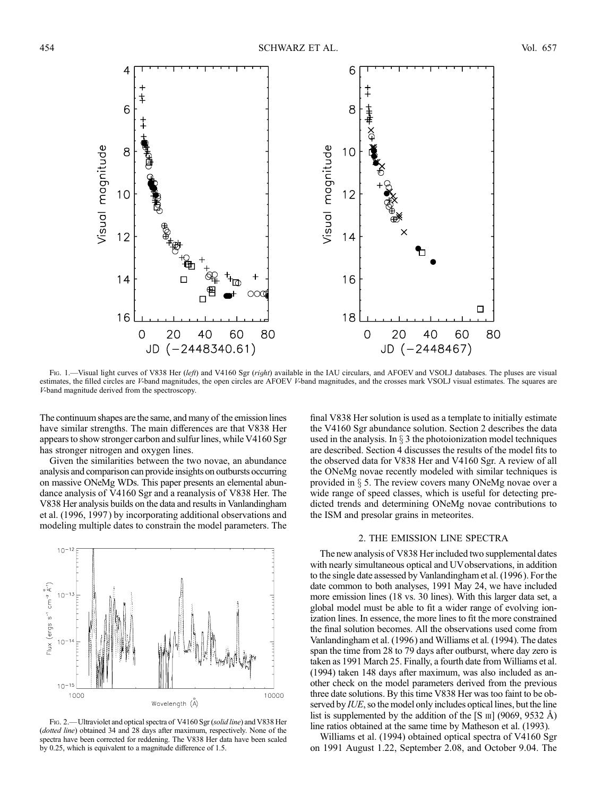

Fig. 1.—Visual light curves of V838 Her (left) and V4160 Sgr (right) available in the IAU circulars, and AFOEV and VSOLJ databases. The pluses are visual estimates, the filled circles are V-band magnitudes, the open circles are AFOEV V-band magnitudes, and the crosses mark VSOLJ visual estimates. The squares are V-band magnitude derived from the spectroscopy.

The continuum shapes are the same, and many of the emission lines have similar strengths. The main differences are that V838 Her appears to show stronger carbon and sulfur lines, while V4160 Sgr has stronger nitrogen and oxygen lines.

Given the similarities between the two novae, an abundance analysis and comparison can provide insights on outbursts occurring on massive ONeMg WDs. This paper presents an elemental abundance analysis of V4160 Sgr and a reanalysis of V838 Her. The V838 Her analysis builds on the data and results in Vanlandingham et al. (1996, 1997 ) by incorporating additional observations and modeling multiple dates to constrain the model parameters. The



FIG. 2.—Ultraviolet and optical spectra of V4160 Sgr (solid line) and V838 Her (dotted line) obtained 34 and 28 days after maximum, respectively. None of the spectra have been corrected for reddening. The V838 Her data have been scaled by 0.25, which is equivalent to a magnitude difference of 1.5.

final V838 Her solution is used as a template to initially estimate the V4160 Sgr abundance solution. Section 2 describes the data used in the analysis. In  $\S$  3 the photoionization model techniques are described. Section 4 discusses the results of the model fits to the observed data for V838 Her and V4160 Sgr. A review of all the ONeMg novae recently modeled with similar techniques is provided in  $\S$  5. The review covers many ONeMg novae over a wide range of speed classes, which is useful for detecting predicted trends and determining ONeMg novae contributions to the ISM and presolar grains in meteorites.

#### 2. THE EMISSION LINE SPECTRA

The new analysis of V838 Her included two supplemental dates with nearly simultaneous optical and UVobservations, in addition to the single date assessed by Vanlandingham et al. (1996). For the date common to both analyses, 1991 May 24, we have included more emission lines (18 vs. 30 lines). With this larger data set, a global model must be able to fit a wider range of evolving ionization lines. In essence, the more lines to fit the more constrained the final solution becomes. All the observations used come from Vanlandingham et al. (1996 ) and Williams et al. (1994). The dates span the time from 28 to 79 days after outburst, where day zero is taken as 1991 March 25. Finally, a fourth date from Williams et al. (1994) taken 148 days after maximum, was also included as another check on the model parameters derived from the previous three date solutions. By this time V838 Her was too faint to be observed by *IUE*, so the model only includes optical lines, but the line list is supplemented by the addition of the  $[S \text{III}]$  (9069, 9532 Å) line ratios obtained at the same time by Matheson et al. (1993).

Williams et al. (1994) obtained optical spectra of V4160 Sgr on 1991 August 1.22, September 2.08, and October 9.04. The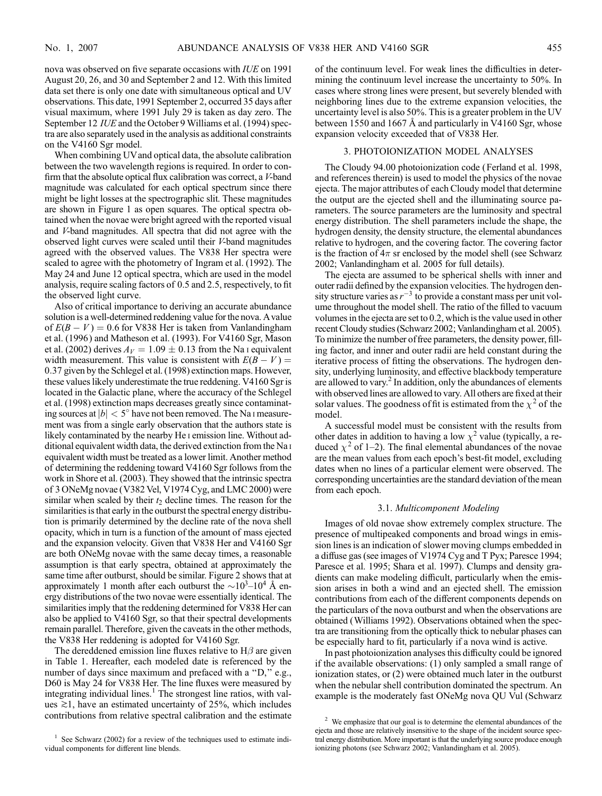nova was observed on five separate occasions with IUE on 1991 August 20, 26, and 30 and September 2 and 12. With this limited data set there is only one date with simultaneous optical and UV observations. This date, 1991 September 2, occurred 35 days after visual maximum, where 1991 July 29 is taken as day zero. The September 12 IUE and the October 9 Williams et al. (1994) spectra are also separately used in the analysis as additional constraints on the V4160 Sgr model.

When combining UVand optical data, the absolute calibration between the two wavelength regions is required. In order to confirm that the absolute optical flux calibration was correct, a V-band magnitude was calculated for each optical spectrum since there might be light losses at the spectrographic slit. These magnitudes are shown in Figure 1 as open squares. The optical spectra obtained when the novae were bright agreed with the reported visual and V-band magnitudes. All spectra that did not agree with the observed light curves were scaled until their V-band magnitudes agreed with the observed values. The V838 Her spectra were scaled to agree with the photometry of Ingram et al. (1992). The May 24 and June 12 optical spectra, which are used in the model analysis, require scaling factors of 0.5 and 2.5, respectively, to fit the observed light curve.

Also of critical importance to deriving an accurate abundance solution is a well-determined reddening value for the nova. Avalue of  $E(B - V) = 0.6$  for V838 Her is taken from Vanlandingham et al. (1996) and Matheson et al. (1993). For V4160 Sgr, Mason et al. (2002) derives  $A_V = 1.09 \pm 0.13$  from the Na i equivalent width measurement. This value is consistent with  $E(B - V) =$ 0:37 given by the Schlegel et al. (1998) extinction maps. However, these values likely underestimate the true reddening. V4160 Sgr is located in the Galactic plane, where the accuracy of the Schlegel et al. (1998) extinction maps decreases greatly since contaminating sources at  $|b| < 5^\circ$  have not been removed. The Na I measurement was from a single early observation that the authors state is likely contaminated by the nearby He i emission line. Without additional equivalent width data, the derived extinction from the Na i equivalent width must be treated as a lower limit. Another method of determining the reddening toward V4160 Sgr follows from the work in Shore et al. (2003). They showed that the intrinsic spectra of 3 ONeMg novae (V382 Vel, V1974 Cyg, and LMC 2000) were similar when scaled by their  $t_2$  decline times. The reason for the similarities is that early in the outburst the spectral energy distribution is primarily determined by the decline rate of the nova shell opacity, which in turn is a function of the amount of mass ejected and the expansion velocity. Given that V838 Her and V4160 Sgr are both ONeMg novae with the same decay times, a reasonable assumption is that early spectra, obtained at approximately the same time after outburst, should be similar. Figure 2 shows that at approximately 1 month after each outburst the  $\sim$ 10<sup>3</sup>-10<sup>4</sup> Å energy distributions of the two novae were essentially identical. The similarities imply that the reddening determined for V838 Her can also be applied to V4160 Sgr, so that their spectral developments remain parallel. Therefore, given the caveats in the other methods, the V838 Her reddening is adopted for V4160 Sgr.

The dereddened emission line fluxes relative to  $H\beta$  are given in Table 1. Hereafter, each modeled date is referenced by the number of days since maximum and prefaced with a "D," e.g., D60 is May 24 for V838 Her. The line fluxes were measured by integrating individual lines.<sup>1</sup> The strongest line ratios, with values  $\geq 1$ , have an estimated uncertainty of 25%, which includes contributions from relative spectral calibration and the estimate of the continuum level. For weak lines the difficulties in determining the continuum level increase the uncertainty to 50%. In cases where strong lines were present, but severely blended with neighboring lines due to the extreme expansion velocities, the uncertainty level is also 50%. This is a greater problem in the UV between 1550 and 1667  $\AA$  and particularly in V4160 Sgr, whose expansion velocity exceeded that of V838 Her.

#### 3. PHOTOIONIZATION MODEL ANALYSES

The Cloudy 94.00 photoionization code (Ferland et al. 1998, and references therein) is used to model the physics of the novae ejecta. The major attributes of each Cloudy model that determine the output are the ejected shell and the illuminating source parameters. The source parameters are the luminosity and spectral energy distribution. The shell parameters include the shape, the hydrogen density, the density structure, the elemental abundances relative to hydrogen, and the covering factor. The covering factor is the fraction of  $4\pi$  sr enclosed by the model shell (see Schwarz 2002; Vanlandingham et al. 2005 for full details).

The ejecta are assumed to be spherical shells with inner and outer radii defined by the expansion velocities. The hydrogen density structure varies as  $r^{-3}$  to provide a constant mass per unit volume throughout the model shell. The ratio of the filled to vacuum volumes in the ejecta are set to 0.2, which is the value used in other recent Cloudy studies (Schwarz 2002; Vanlandingham et al. 2005). To minimize the number of free parameters, the density power, filling factor, and inner and outer radii are held constant during the iterative process of fitting the observations. The hydrogen density, underlying luminosity, and effective blackbody temperature are allowed to vary. $<sup>2</sup>$  In addition, only the abundances of elements</sup> with observed lines are allowed to vary. All others are fixed at their solar values. The goodness of fit is estimated from the  $\chi^2$  of the model.

A successful model must be consistent with the results from other dates in addition to having a low  $\chi^2$  value (typically, a reduced  $\chi^2$  of 1–2). The final elemental abundances of the novae are the mean values from each epoch's best-fit model, excluding dates when no lines of a particular element were observed. The corresponding uncertainties are the standard deviation of the mean from each epoch.

#### 3.1. Multicomponent Modeling

Images of old novae show extremely complex structure. The presence of multipeaked components and broad wings in emission lines is an indication of slower moving clumps embedded in a diffuse gas (see images of V1974 Cyg and T Pyx; Paresce 1994; Paresce et al. 1995; Shara et al. 1997). Clumps and density gradients can make modeling difficult, particularly when the emission arises in both a wind and an ejected shell. The emission contributions from each of the different components depends on the particulars of the nova outburst and when the observations are obtained (Williams 1992). Observations obtained when the spectra are transitioning from the optically thick to nebular phases can be especially hard to fit, particularly if a nova wind is active.

In past photoionization analyses this difficulty could be ignored if the available observations: (1) only sampled a small range of ionization states, or (2) were obtained much later in the outburst when the nebular shell contribution dominated the spectrum. An example is the moderately fast ONeMg nova QU Vul (Schwarz

 $1$  See Schwarz (2002) for a review of the techniques used to estimate individual components for different line blends.

 $2$  We emphasize that our goal is to determine the elemental abundances of the ejecta and those are relatively insensitive to the shape of the incident source spectral energy distribution. More important is that the underlying source produce enough ionizing photons (see Schwarz 2002; Vanlandingham et al. 2005).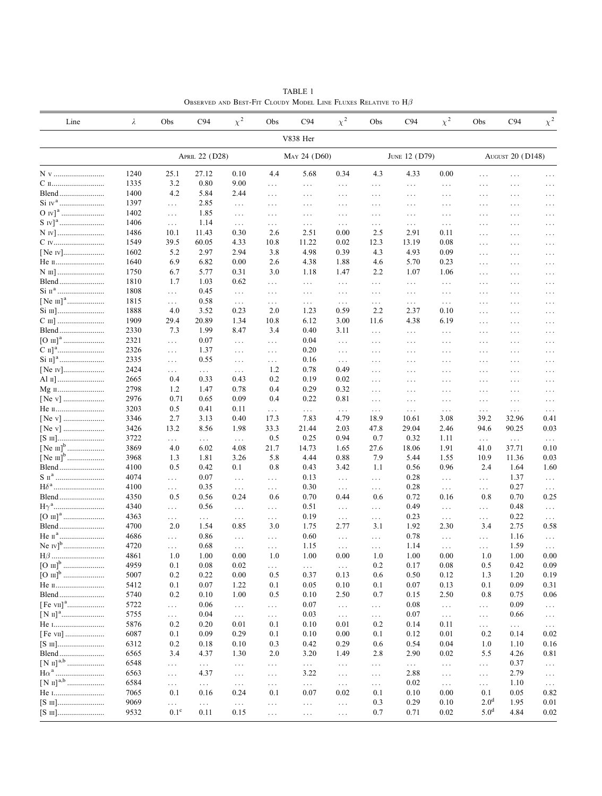| Line                     | λ            | Obs                     | C94                | $\chi^2$           | Obs             | C94              | $\chi^2$             | Obs             | C94              | $\chi^2$         | Obs                  | C94                     | $\chi^2$             |
|--------------------------|--------------|-------------------------|--------------------|--------------------|-----------------|------------------|----------------------|-----------------|------------------|------------------|----------------------|-------------------------|----------------------|
|                          |              |                         |                    |                    |                 | V838 Her         |                      |                 |                  |                  |                      |                         |                      |
|                          |              |                         | APRIL 22 (D28)     |                    |                 | MAY 24 (D60)     |                      |                 | JUNE 12 (D79)    |                  |                      | <b>AUGUST 20 (D148)</b> |                      |
| N v                      | 1240         | 25.1                    | 27.12              | 0.10               | 4.4             | 5.68             | 0.34                 | 4.3             | 4.33             | 0.00             | .                    | $\ldots$                | .                    |
| C п                      | 1335         | 3.2                     | 0.80               | 9.00               | $\ldots$        | $\ldots$         | $\cdots$             | $\ldots$        | $\cdots$         | $\ldots$         | $\cdots$             | $\cdots$                | $\ldots$             |
| Blend                    | 1400         | 4.2                     | 5.84               | 2.44               | $\ldots$        | $\cdots$         | $\cdots$             | $\cdots$        | $\ldots$         | $\cdots$         | $\cdots$             | $\cdots$                | $\cdots$             |
| $O$ IV] <sup>a</sup><br> | 1397<br>1402 | $\ldots$                | 2.85<br>1.85       | $\cdots$           | $\ldots$        | $\cdots$         | $\ldots$             | $\cdots$        | $\cdots$         | $\cdots$         | $\cdots$             | $\cdots$                | $\cdots$             |
|                          | 1406         | $\ldots$                | 1.14               | $\cdots$           | $\ldots$        | $\cdots$         | $\cdots$             | $\cdots$        | $\cdots$         | $\cdots$         | $\cdots$<br>$\cdots$ | $\cdots$<br>$\cdots$    | $\ddots$             |
| N IV                     | 1486         | $\ldots$<br>10.1        | 11.43              | $\ldots$<br>0.30   | $\ldots$<br>2.6 | $\ldots$<br>2.51 | $\ldots$<br>0.00     | $\cdots$<br>2.5 | $\ldots$<br>2.91 | $\ldots$<br>0.11 | $\cdots$             | $\cdots$                | $\ldots$<br>$\ddots$ |
| C IV                     | 1549         | 39.5                    | 60.05              | 4.33               | 10.8            | 11.22            | 0.02                 | 12.3            | 13.19            | 0.08             | $\cdots$             | $\cdots$                | $\ldots$             |
| [Ne IV]                  | 1602         | 5.2                     | 2.97               | 2.94               | 3.8             | 4.98             | 0.39                 | 4.3             | 4.93             | 0.09             | $\cdots$             | $\cdots$                | $\cdots$             |
| Не п                     | 1640         | 6.9                     | 6.82               | 0.00               | 2.6             | 4.38             | 1.88                 | 4.6             | 5.70             | 0.23             | $\cdots$             | .                       | $\ldots$             |
|                          | 1750         | 6.7                     | 5.77               | 0.31               | 3.0             | 1.18             | 1.47                 | 2.2             | 1.07             | 1.06             | $\cdots$             | $\cdots$                | $\ldots$             |
| Blend                    | 1810         | 1.7                     | 1.03               | 0.62               | $\ldots$        | $\cdots$         | $\ldots$             | $\ldots$        | $\ldots$         | $\ldots$         | $\cdots$             | $\cdots$                | $\cdots$             |
|                          | 1808         | $\ddotsc$               | 0.45               | $\ldots$           | $\ldots$        | $\cdots$         | $\ldots$             | $\cdots$        | $\cdots$         | $\cdots$         | $\cdots$             | $\cdots$                | $\cdots$             |
|                          | 1815         | $\ldots$                | 0.58               | $\ldots$ .         | $\ldots$        | $\cdots$         | $\ldots$             | $\ldots$        | $\ldots$         | $\ldots$         | $\cdots$             | $\cdots$                | $\ldots$             |
| Si III]                  | 1888         | 4.0                     | 3.52               | 0.23               | 2.0             | 1.23             | 0.59                 | 2.2             | 2.37             | 0.10             | $\cdots$             | $\cdots$                | $\cdots$             |
|                          | 1909         | 29.4                    | 20.89              | 1.34               | 10.8            | 6.12             | 3.00                 | 11.6            | 4.38             | 6.19             | $\ldots$             | $\cdots$                | $\ldots$             |
| Blend                    | 2330         | 7.3                     | 1.99               | 8.47               | 3.4             | 0.40             | 3.11                 | $\ldots$        | $\ldots$         | $\cdots$         | $\cdots$             | $\cdots$                | $\ldots$             |
|                          | 2321         | $\cdots$                | 0.07               | $\ldots$           | $\ldots$        | 0.04             | $\ldots$             | $\cdots$        | $\cdots$         | $\cdots$         | $\cdots$             | $\cdots$                | $\cdots$             |
|                          | 2326         | $\ddotsc$               | 1.37               | $\cdots$           | $\ldots$        | 0.20             | $\ldots$             | $\cdots$        | $\ldots$         | $\cdots$         | $\cdots$             | $\cdots$                | $\ldots$             |
|                          | 2335         | $\cdots$                | 0.55               | $\cdots$           | $\ldots$        | 0.16             | $\cdots$             | $\ldots$        | $\cdots$         | $\cdots$         | $\cdots$             | $\cdots$                | $\ldots$             |
| [Ne IV]                  | 2424         | $\cdots$                | $\ldots$           | $\ldots$           | 1.2             | 0.78             | 0.49                 | $\cdots$        | $\cdots$         | $\cdots$         | $\cdots$             | $\cdots$                | $\cdots$             |
|                          | 2665         | 0.4                     | 0.33               | 0.43               | 0.2             | 0.19             | 0.02                 | $\ldots$        | $\cdots$         | $\cdots$         | $\cdots$             | $\cdots$                | $\ddots$             |
|                          | 2798         | 1.2                     | 1.47               | 0.78               | 0.4             | 0.29             | 0.32                 | $\cdots$        | $\ldots$         | $\cdots$         | $\cdots$             | $\cdots$                | $\ddots$             |
| [Ne v]                   | 2976         | 0.71                    | 0.65               | 0.09               | 0.4             | 0.22             | 0.81                 | $\ldots$        | $\ldots$         | $\cdots$         | $\cdots$             | $\ldots$                | $\cdots$             |
| Не п                     | 3203         | 0.5<br>2.7              | 0.41               | 0.11               | $\ldots$        | $\cdots$         | $\ldots$             | $\cdots$        | $\ldots$         | $\ldots$         | $\ldots$             | $\cdots$                | $\ldots$             |
| [Ne v]<br>[Ne v]         | 3346         | 13.2                    | 3.13<br>8.56       | 0.40<br>1.98       | 17.3<br>33.3    | 7.83<br>21.44    | 4.79<br>2.03         | 18.9<br>47.8    | 10.61<br>29.04   | 3.08<br>2.46     | 39.2<br>94.6         | 32.96<br>90.25          | 0.41<br>0.03         |
|                          | 3426<br>3722 |                         |                    |                    | 0.5             | 0.25             | 0.94                 | 0.7             | 0.32             | 1.11             |                      |                         |                      |
|                          | 3869         | $\ldots$<br>4.0         | $\ldots$<br>6.02   | $\ldots$ .<br>4.08 | 21.7            | 14.73            | 1.65                 | 27.6            | 18.06            | 1.91             | $\ldots$<br>41.0     | $\ldots$<br>37.71       | $\ldots$ .<br>0.10   |
|                          | 3968         | 1.3                     | 1.81               | 3.26               | 5.8             | 4.44             | 0.88                 | 7.9             | 5.44             | 1.55             | 10.9                 | 11.36                   | 0.03                 |
| Blend                    | 4100         | 0.5                     | 0.42               | 0.1                | 0.8             | 0.43             | 3.42                 | 1.1             | 0.56             | 0.96             | 2.4                  | 1.64                    | 1.60                 |
|                          | 4074         | $\cdots$                | 0.07               | $\ldots$           | $\ldots$        | 0.13             | $\ldots$             | $\ddotsc$       | 0.28             | $\cdots$         | $\cdots$             | 1.37                    | $\ldots$             |
|                          | 4100         | $\cdots$                | 0.35               | $\ldots$ .         | $\ldots$        | 0.30             | $\sim$ $\sim$ $\sim$ | $\ldots$        | 0.28             | $\ldots$         | $\ldots$             | 0.27                    | $\ldots$             |
| Blend                    | 4350         | 0.5                     | 0.56               | 0.24               | 0.6             | 0.70             | 0.44                 | 0.6             | 0.72             | 0.16             | 0.8                  | 0.70                    | 0.25                 |
|                          | 4340         | $\cdots$                | 0.56               | $\cdots$           | $\ldots$        | 0.51             | $\cdots$             | $\ldots$        | 0.49             | $\cdots$         | .                    | 0.48                    | $\sim$ $\sim$ $\sim$ |
|                          | 4363         | $\ldots$                | $\ldots$ .         | $\cdots$           | $\ldots$        | 0.19             | $\ldots$             | $\ldots$        | 0.23             | $\ldots$         | $\ldots$             | 0.22                    | $\sim$ $\sim$ $\sim$ |
| Blend                    | 4700         | 2.0                     | 1.54               | 0.85               | 3.0             | 1.75             | 2.77                 | 3.1             | 1.92             | 2.30             | 3.4                  | 2.75                    | 0.58                 |
|                          | 4686         | $\ldots$                | 0.86               | $\ldots$           | $\ldots$        | 0.60             | $\ldots$             | $\ldots$        | 0.78             | $\ldots$         | $\ldots$             | 1.16                    | $\ldots$             |
|                          | 4720         | .                       | 0.68               | $\cdot$ .          | $\ldots$        | 1.15             | $\cdots$             | $\cdot$ .       | 1.14             | $\cdot$ .        | $\cdots$             | 1.59                    | .                    |
| $H\beta$                 | 4861         | 1.0                     | 1.00               | 0.00               | 1.0             | 1.00             | 0.00                 | 1.0             | 1.00             | 0.00             | 1.0                  | 1.00                    | 0.00                 |
|                          | 4959         | 0.1                     | 0.08               | 0.02               | $\ldots$        | $\cdots$         | $\ldots$             | 0.2             | 0.17             | 0.08             | 0.5                  | 0.42                    | 0.09                 |
|                          | 5007         | 0.2                     | 0.22               | 0.00               | 0.5             | 0.37             | 0.13                 | 0.6             | 0.50             | 0.12             | 1.3                  | 1.20                    | 0.19                 |
| Не п                     | 5412         | 0.1                     | 0.07               | 1.22               | 0.1             | 0.05             | 0.10                 | 0.1             | 0.07             | 0.13             | 0.1                  | 0.09                    | 0.31                 |
| Blend                    | 5740         | 0.2                     | 0.10               | 1.00               | 0.5             | 0.10             | 2.50                 | 0.7             | 0.15             | 2.50             | 0.8                  | 0.75                    | 0.06                 |
|                          | 5722         | $\ldots$                | 0.06               | .                  | $\ldots$        | 0.07             | $\ldots$             | $\ldots$        | 0.08             | .                | $\ldots$             | 0.09                    | $\ldots$             |
|                          | 5755         | $\ldots$                | 0.04               | $\ldots$           | $\ldots$        | 0.03             | $\ldots$             | $\ddotsc$       | 0.07             | $\ldots$         | $\cdots$             | 0.66                    | $\ldots$             |
| He 1                     | 5876         | 0.2                     | 0.20               | 0.01               | 0.1             | 0.10             | 0.01                 | 0.2             | 0.14             | 0.11             | $\ldots$             | $\ldots$                | $\ldots$             |
|                          | 6087         | 0.1                     | 0.09               | 0.29               | 0.1             | 0.10             | 0.00                 | 0.1             | 0.12             | 0.01             | 0.2                  | 0.14                    | 0.02                 |
|                          | 6312         | 0.2                     | 0.18               | 0.10               | 0.3             | 0.42             | 0.29                 | 0.6             | 0.54             | 0.04             | 1.0                  | 1.10                    | 0.16                 |
| Blend                    | 6565         | 3.4                     | 4.37               | 1.30               | 2.0             | 3.20             | 1.49                 | 2.8             | 2.90             | 0.02             | 5.5                  | 4.26                    | 0.81                 |
|                          | 6548         | $\ldots$                | $\ldots$ .         | $\ldots$           | $\ldots$        | $\ldots$         | $\ldots$             | $\cdots$        | $\ldots$         | $\ldots$         | $\cdots$             | 0.37                    | $\ldots$             |
|                          | 6563<br>6584 | $\ldots$                | 4.37               | $\ldots$           | $\ldots$        | 3.22             | $\ldots$             | $\ldots$        | 2.88<br>0.02     | $\ldots$         | $\ldots$             | 2.79<br>1.10            | $\ldots$             |
| He 1                     | 7065         | $\ldots$<br>0.1         | $\ldots$ .<br>0.16 | $\ldots$<br>0.24   | $\ldots$<br>0.1 | $\ldots$<br>0.07 | $\ldots$<br>0.02     | $\ldots$<br>0.1 | 0.10             | .<br>0.00        | $\cdots$<br>0.1      | 0.05                    | $\ldots$<br>0.82     |
| $[S$ $\text{III}]$       | 9069         |                         |                    |                    |                 |                  |                      | 0.3             | 0.29             | 0.10             | 2.0 <sup>d</sup>     | 1.95                    | 0.01                 |
|                          |              | $\ldots$<br>$0.1^\circ$ | $\ldots$           | $\ldots$           | $\ldots$        | $\cdots$         | $\ldots$             |                 |                  |                  | 5.0 <sup>d</sup>     |                         |                      |
|                          | 9532         |                         | 0.11               | 0.15               | $\ldots$        | $\ldots$         | $\ldots$             | 0.7             | 0.71             | 0.02             |                      | 4.84                    | 0.02                 |

TABLE 1 Observed and Best-Fit Cloudy Model Line Fluxes Relative to  $H\beta$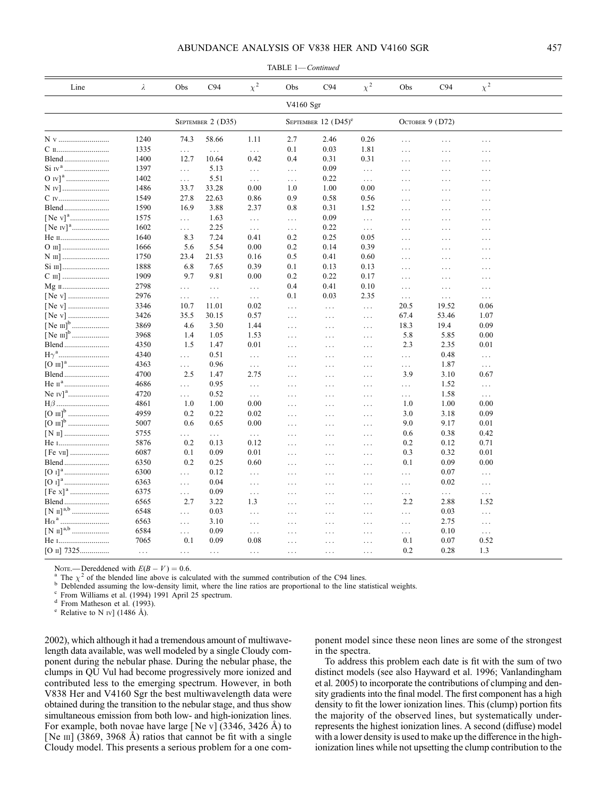#### ABUNDANCE ANALYSIS OF V838 HER AND V4160 SGR 457

| Line              | λ        | Obs             | C94                  | $\chi^2$                     | Obs       | C94                               | $\chi^2$ | Obs             | C94                  | $\chi^2$         |  |
|-------------------|----------|-----------------|----------------------|------------------------------|-----------|-----------------------------------|----------|-----------------|----------------------|------------------|--|
|                   |          |                 |                      |                              | V4160 Sgr |                                   |          |                 |                      |                  |  |
|                   |          |                 | SEPTEMBER 2 (D35)    |                              |           | SEPTEMBER $12$ (D45) <sup>e</sup> |          |                 | OCTOBER 9 (D72)      |                  |  |
| N v               | 1240     | 74.3            | 58.66                | 1.11                         | 2.7       | 2.46                              | 0.26     | $\ldots$        | $\cdots$             | .                |  |
|                   | 1335     | $\cdots$        | $\sim$ $\sim$ $\sim$ | $\ldots$                     | 0.1       | 0.03                              | 1.81     | $\cdots$        | $\cdots$             | .                |  |
| Blend             | 1400     | 12.7            | 10.64                | 0.42                         | 0.4       | 0.31                              | 0.31     | $\ldots$        | $\cdots$             | $\cdots$         |  |
|                   | 1397     | $\cdots$        | 5.13                 | $\ldots$                     | $\ldots$  | 0.09                              | $\ldots$ | $\cdots$        | $\cdots$             | $\cdots$         |  |
|                   | 1402     | $\ldots$        | 5.51                 | $\ldots$                     | $\ldots$  | 0.22                              | $\ldots$ | $\ldots$        | $\cdots$             | $\cdots$         |  |
| N IV]             | 1486     | 33.7            | 33.28                | 0.00                         | 1.0       | 1.00                              | 0.00     | $\cdots$        | $\cdots$             | .                |  |
| C IV              | 1549     | 27.8            | 22.63                | 0.86                         | 0.9       | 0.58                              | 0.56     | $\cdots$        | $\cdots$             | $\cdots$         |  |
|                   | 1590     | 16.9            | 3.88                 | 2.37                         | 0.8       | 0.31                              | 1.52     | $\cdots$        | $\cdots$             | $\ddots$         |  |
|                   | 1575     | $\ldots$        | 1.63                 | $\ldots$                     | $\cdots$  | 0.09                              | $\ldots$ | $\ldots$        | $\ldots$             | $\cdots$         |  |
|                   | 1602     | $\cdots$        | 2.25                 | $\ldots$                     | $\ldots$  | 0.22                              | $\ldots$ | $\cdots$        | $\cdots$             | $\cdots$         |  |
| Не п              | 1640     | 8.3             | 7.24                 | 0.41                         | 0.2       | 0.25                              | 0.05     | $\cdots$        | $\cdots$             | $\ldots$         |  |
| O III]            | 1666     | 5.6             | 5.54                 | 0.00                         | 0.2       | 0.14                              | 0.39     | $\cdots$        | $\ldots$             | $\ldots$         |  |
| N III]            | 1750     | 23.4            | 21.53                | 0.16                         | 0.5       | 0.41                              | 0.60     | $\cdots$        | $\ldots$             | $\ldots$         |  |
|                   | 1888     | 6.8             | 7.65                 | 0.39                         | 0.1       | 0.13                              | 0.13     | .               | $\ldots$             | $\cdots$         |  |
|                   | 1909     | 9.7             | 9.81                 | 0.00                         | 0.2       | 0.22                              | 0.17     | $\ldots$        | $\ldots$             | $\ldots$         |  |
|                   | 2798     | $\cdots$        | $\ldots$             | $\ldots$                     | 0.4       | 0.41                              | 0.10     | $\cdots$        | $\ldots$             | $\cdots$         |  |
|                   | 2976     | $\ldots$        | $\ddotsc$            | $\ldots$                     | 0.1       | 0.03                              | 2.35     | $\ldots$        | $\sim$ $\sim$ $\sim$ | $\ldots$         |  |
|                   | 3346     | 10.7            | 11.01                | 0.02                         | $\ldots$  | $\cdots$                          | $\ldots$ | 20.5            | 19.52                | 0.06             |  |
|                   | 3426     | 35.5            | 30.15                | 0.57                         | $\ldots$  | $\ldots$                          | $\ldots$ | 67.4            | 53.46                | 1.07             |  |
|                   | 3869     | 4.6             | 3.50                 | 1.44                         | $\ldots$  | $\cdots$                          | $\ldots$ | 18.3            | 19.4                 | 0.09             |  |
|                   | 3968     | 1.4             | 1.05                 | 1.53                         | $\ldots$  | $\cdots$                          | $\ddots$ | 5.8             | 5.85                 | 0.00             |  |
| Blend             | 4350     | 1.5             | 1.47                 | 0.01                         | $\cdots$  | $\cdots$                          | $\ddots$ | 2.3             | 2.35                 | 0.01             |  |
|                   | 4340     | $\cdots$        | 0.51                 | $\ldots$                     | $\cdots$  |                                   |          | $\cdots$        | 0.48                 | $\ldots$         |  |
|                   | 4363     | $\cdots$        | 0.96                 | $\ldots$                     | $\cdots$  | $\cdots$                          | $\ldots$ |                 | 1.87                 | $\ldots$         |  |
| Blend             | 4700     | 2.5             | 1.47                 | 2.75                         | $\cdots$  | $\cdots$                          | $\ldots$ | .<br>3.9        | 3.10                 | 0.67             |  |
| Не п <sup>а</sup> | 4686     |                 | 0.95                 |                              |           | $\ddotsc$                         | $\cdots$ |                 | 1.52                 |                  |  |
|                   | 4720     | $\cdots$        | 0.52                 | $\ldots$                     | $\cdots$  | $\cdots$                          | $\ldots$ | $\ldots$        | 1.58                 | $\ldots$         |  |
| $H\beta$          | 4861     | $\cdots$<br>1.0 | 1.00                 | $\sim$ $\sim$ $\sim$<br>0.00 | $\cdot$ . | $\cdots$                          | $\ddots$ | $\ldots$<br>1.0 | 1.00                 | $\ldots$<br>0.00 |  |
|                   | 4959     | 0.2             | 0.22                 | 0.02                         | $\cdots$  | $\cdots$                          | $\cdots$ | 3.0             | 3.18                 | 0.09             |  |
|                   | 5007     |                 | 0.65                 |                              | $\ldots$  | $\cdots$                          | $\ddots$ |                 |                      | 0.01             |  |
|                   | 5755     | 0.6             |                      | 0.00                         | $\cdots$  | $\cdots$                          | $\ddots$ | 9.0             | 9.17<br>0.38         | 0.42             |  |
|                   |          | .               | $\cdots$             | $\sim$ $\sim$ $\sim$         | $\cdots$  | $\cdots$                          | $\ddots$ | 0.6             |                      |                  |  |
| He 1              | 5876     | 0.2             | 0.13                 | 0.12                         | $\cdots$  | $\ddotsc$                         | $\cdots$ | 0.2             | 0.12                 | 0.71             |  |
| [Fe vII]          | 6087     | 0.1             | 0.09                 | 0.01                         | $\ldots$  | $\cdots$                          | $\cdots$ | 0.3             | 0.32                 | 0.01             |  |
| Blend             | 6350     | 0.2             | 0.25                 | 0.60                         | $\ldots$  | $\cdots$                          | $\cdots$ | 0.1             | 0.09                 | 0.00             |  |
|                   | 6300     | $\cdots$        | 0.12                 | $\ldots$                     | $\cdots$  | $\cdots$                          | $\cdots$ | $\cdots$        | 0.07                 | $\ldots$         |  |
|                   | 6363     | $\cdots$        | 0.04                 | $\ldots$                     | $\cdots$  | $\cdots$                          | $\cdots$ | $\ldots$        | 0.02                 | $\ldots$         |  |
|                   | 6375     | $\ldots$        | 0.09                 | $\ldots$                     | $\cdots$  | $\cdots$                          | $\cdots$ | $\ldots$        | $\ldots$             | $\ldots$         |  |
| Blend             | 6565     | 2.7             | 3.22                 | 1.3                          | $\ldots$  | $\cdots$                          | $\ddots$ | 2.2             | 2.88                 | 1.52             |  |
|                   | 6548     | $\cdots$        | 0.03                 | $\cdots$                     | $\cdots$  | $\cdots$                          | $\cdots$ | $\ldots$        | 0.03                 | $\ldots$         |  |
|                   | 6563     | $\ldots$        | 3.10                 | $\ldots$                     | $\cdots$  | $\ldots$                          | $\cdots$ | $\ldots$        | 2.75                 | $\ldots$         |  |
|                   | 6584     | $\ldots$        | 0.09                 | $\ldots$                     | $\ldots$  | $\ldots$                          | $\cdots$ | $\ldots$        | 0.10                 | $\ldots$         |  |
| He 1              | 7065     | 0.1             | 0.09                 | 0.08                         | $\cdots$  | .                                 | $\ldots$ | 0.1             | 0.07                 | 0.52             |  |
| $[O II]$ 7325     | $\ldots$ | $\ldots$        | $\ldots$             | $\ldots$                     | $\ldots$  | $\cdots$                          | $\ldots$ | 0.2             | 0.28                 | 1.3              |  |

TABLE 1—Continued

NOTE.—Dereddened with  $E(B - V) = 0.6$ .<br><sup>a</sup> The  $\chi^2$  of the blended line above is calculated with the summed contribution of the C94 lines.<br><sup>b</sup> Deblended assuming the low-density limit, where the line ratios are proportiona

2002), which although it had a tremendous amount of multiwavelength data available, was well modeled by a single Cloudy component during the nebular phase. During the nebular phase, the clumps in QU Vul had become progressively more ionized and contributed less to the emerging spectrum. However, in both V838 Her and V4160 Sgr the best multiwavelength data were obtained during the transition to the nebular stage, and thus show simultaneous emission from both low- and high-ionization lines. For example, both novae have large [Ne v]  $(3346, 3426 \text{ Å})$  to [Ne  $\text{III}$ ] (3869, 3968 Å) ratios that cannot be fit with a single Cloudy model. This presents a serious problem for a one com-

ponent model since these neon lines are some of the strongest in the spectra.

To address this problem each date is fit with the sum of two distinct models (see also Hayward et al. 1996; Vanlandingham et al. 2005) to incorporate the contributions of clumping and density gradients into the final model. The first component has a high density to fit the lower ionization lines. This (clump) portion fits the majority of the observed lines, but systematically underrepresents the highest ionization lines. A second (diffuse) model with a lower density is used to make up the difference in the highionization lines while not upsetting the clump contribution to the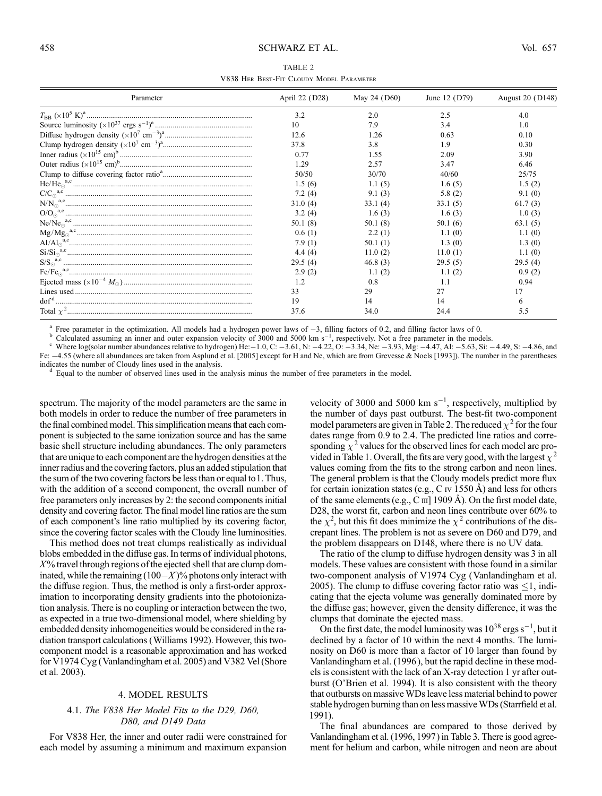#### 458 SCHWARZ ET AL. Vol. 657

| TABLE 2                                  |
|------------------------------------------|
| V838 HER BEST-FIT CLOUDY MODEL PARAMETER |

| Parameter               | April 22 (D28) | May 24 (D60) | June 12 (D79) | August 20 (D148) |
|-------------------------|----------------|--------------|---------------|------------------|
|                         | 3.2            | 2.0          | 2.5           | 4.0              |
|                         | 10             | 7.9          | 3.4           | 1 <sub>0</sub>   |
|                         | 12.6           | 1.26         | 0.63          | 0.10             |
|                         | 378            | 3.8          | 19            | 0.30             |
|                         | 0.77           | 1.55         | 2.09          | 3.90             |
|                         | 1 29           | 2.57         | 347           | 646              |
|                         | 50/50          | 30/70        | 40/60         | 25/75            |
|                         | 1.5(6)         | 1.1(5)       | 1.6(5)        | 1.5(2)           |
|                         | 7.2(4)         | 9.1 (3)      | 5.8(2)        | 9.1(0)           |
| $N/N_{\odot}^{\ a,c}\\$ | 31.0(4)        | 33.1(4)      | 33.1(5)       | 61.7(3)          |
|                         | 3.2(4)         | 1.6(3)       | 1.6(3)        | 1.0(3)           |
|                         | 50.1(8)        | 50.1(8)      | 50.1(6)       | 63.1(5)          |
|                         | 0.6(1)         | 2.2(1)       | 1.1(0)        | 1.1(0)           |
|                         | 7.9(1)         | 50.1(1)      | 1.3(0)        | 1.3(0)           |
|                         | 4.4(4)         | 11.0(2)      | 11.0(1)       | 1.1(0)           |
|                         | 29.5(4)        | 46.8(3)      | 29.5(5)       | 29.5(4)          |
|                         | 2.9(2)         | 1.1(2)       | 1.1(2)        | 0.9(2)           |
|                         | 1.2            | 0.8          | 11            | 0.94             |
|                         | 33             | 29           | 27            | 17               |
|                         | 19             | 14           | 14            | 6                |
|                         | 37.6           | 34.0         | 24.4          | 5.5              |

<sup>a</sup> Free parameter in the optimization. All models had a hydrogen power laws of -3, filling factors of 0.2, and filling factor laws of 0.<br><sup>b</sup> Calculated assuming an inner and outer expansion velocity of 3000 and 5000 km s Fe:  $-4.55$  (where all abundances are taken from Asplund et al. [2005] except for H and Ne, which are from Grevesse & Noels [1993]). The number in the parentheses

indicates the number of Cloudy lines used in the analysis.<br>d Equal to the number of observed lines used in the analysis minus the number of free parameters in the model.

spectrum. The majority of the model parameters are the same in both models in order to reduce the number of free parameters in the final combined model. This simplification means that each component is subjected to the same ionization source and has the same basic shell structure including abundances. The only parameters that are unique to each component are the hydrogen densities at the inner radius and the covering factors, plus an added stipulation that the sum of the two covering factors be less than or equal to1. Thus, with the addition of a second component, the overall number of free parameters only increases by 2: the second components initial density and covering factor. The final model line ratios are the sum of each component's line ratio multiplied by its covering factor, since the covering factor scales with the Cloudy line luminosities.

This method does not treat clumps realistically as individual blobs embedded in the diffuse gas. In terms of individual photons,  $X<sup>0</sup>$  travel through regions of the ejected shell that are clump dominated, while the remaining  $(100-X)$ % photons only interact with the diffuse region. Thus, the method is only a first-order approximation to incorporating density gradients into the photoionization analysis. There is no coupling or interaction between the two, as expected in a true two-dimensional model, where shielding by embedded density inhomogeneities would be considered in the radiation transport calculations (Williams 1992). However, this twocomponent model is a reasonable approximation and has worked for V1974 Cyg (Vanlandingham et al. 2005) and V382 Vel (Shore et al. 2003).

#### 4. MODEL RESULTS

#### 4.1. The V838 Her Model Fits to the D29, D60, D80, and D149 Data

For V838 Her, the inner and outer radii were constrained for each model by assuming a minimum and maximum expansion

velocity of 3000 and 5000 km  $s^{-1}$ , respectively, multiplied by the number of days past outburst. The best-fit two-component model parameters are given in Table 2. The reduced  $\chi^2$  for the four dates range from 0.9 to 2.4. The predicted line ratios and corresponding  $\chi^2$  values for the observed lines for each model are provided in Table 1. Overall, the fits are very good, with the largest  $\chi^2$ values coming from the fits to the strong carbon and neon lines. The general problem is that the Cloudy models predict more flux for certain ionization states (e.g., C iv 1550  $\AA$ ) and less for others of the same elements (e.g., C  $\text{III}$ ] 1909 A). On the first model date, D28, the worst fit, carbon and neon lines contribute over 60% to the  $\chi^2$ , but this fit does minimize the  $\chi^2$  contributions of the discrepant lines. The problem is not as severe on D60 and D79, and the problem disappears on D148, where there is no UV data.

The ratio of the clump to diffuse hydrogen density was 3 in all models. These values are consistent with those found in a similar two-component analysis of V1974 Cyg (Vanlandingham et al. 2005). The clump to diffuse covering factor ratio was  $\leq 1$ , indicating that the ejecta volume was generally dominated more by the diffuse gas; however, given the density difference, it was the clumps that dominate the ejected mass.

On the first date, the model luminosity was  $10^{38}$  ergs s<sup>-1</sup>, but it declined by a factor of 10 within the next 4 months. The luminosity on D60 is more than a factor of 10 larger than found by Vanlandingham et al. (1996 ), but the rapid decline in these models is consistent with the lack of an X-ray detection 1 yr after outburst (O'Brien et al. 1994). It is also consistent with the theory that outbursts on massive WDs leave less material behind to power stable hydrogen burning than on less massiveWDs (Starrfield et al. 1991).

The final abundances are compared to those derived by Vanlandingham et al. (1996, 1997) in Table 3. There is good agreement for helium and carbon, while nitrogen and neon are about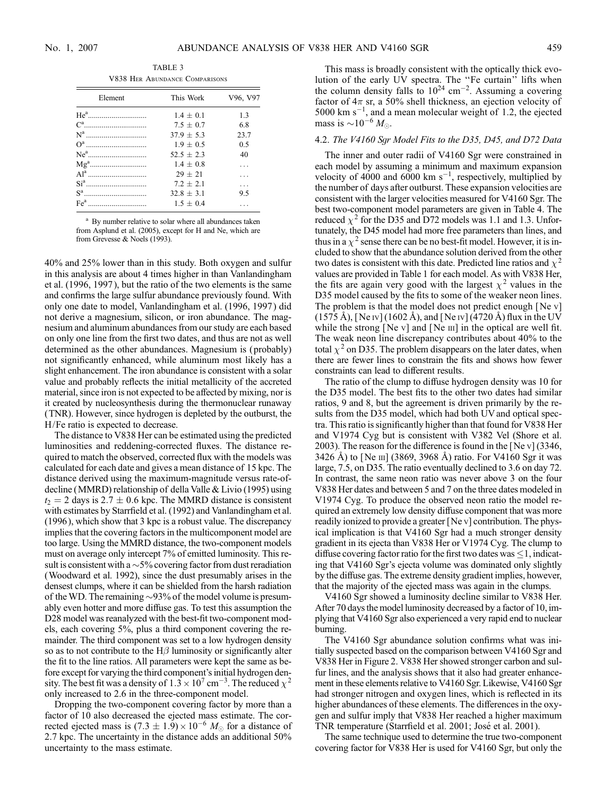TABLE 3 V838 Her Abundance Comparisons

| This Work     | V96, V97 |
|---------------|----------|
| $1.4 + 0.1$   | 13       |
| $7.5 + 0.7$   | 68       |
| $379 + 53$    | 23.7     |
| $1.9 \pm 0.5$ | 0.5      |
| $52.5 + 2.3$  | 40       |
| $1.4 + 0.8$   |          |
| $29 + 21$     |          |
| $7.2 + 2.1$   | .        |
| $32.8 + 3.1$  | 9.5      |
| $15 + 04$     |          |
|               |          |

<sup>a</sup> By number relative to solar where all abundances taken from Asplund et al. (2005), except for H and Ne, which are from Grevesse & Noels (1993).

40% and 25% lower than in this study. Both oxygen and sulfur in this analysis are about 4 times higher in than Vanlandingham et al. (1996, 1997 ), but the ratio of the two elements is the same and confirms the large sulfur abundance previously found. With only one date to model, Vanlandingham et al. (1996, 1997 ) did not derive a magnesium, silicon, or iron abundance. The magnesium and aluminum abundances from our study are each based on only one line from the first two dates, and thus are not as well determined as the other abundances. Magnesium is ( probably) not significantly enhanced, while aluminum most likely has a slight enhancement. The iron abundance is consistent with a solar value and probably reflects the initial metallicity of the accreted material, since iron is not expected to be affected by mixing, nor is it created by nucleosynthesis during the thermonuclear runaway (TNR). However, since hydrogen is depleted by the outburst, the H/Fe ratio is expected to decrease.

The distance to V838 Her can be estimated using the predicted luminosities and reddening-corrected fluxes. The distance required to match the observed, corrected flux with the models was calculated for each date and gives a mean distance of 15 kpc. The distance derived using the maximum-magnitude versus rate-ofdecline (MMRD) relationship of della Valle & Livio (1995) using  $t_2 = 2$  days is 2.7  $\pm$  0.6 kpc. The MMRD distance is consistent with estimates by Starrfield et al. (1992) and Vanlandingham et al. (1996 ), which show that 3 kpc is a robust value. The discrepancy implies that the covering factors in the multicomponent model are too large. Using the MMRD distance, the two-component models must on average only intercept 7% of emitted luminosity. This result is consistent with a  $\sim$  5% covering factor from dust reradiation (Woodward et al. 1992), since the dust presumably arises in the densest clumps, where it can be shielded from the harsh radiation of the WD. The remaining  $\sim$ 93% of the model volume is presumably even hotter and more diffuse gas. To test this assumption the D28 model was reanalyzed with the best-fit two-component models, each covering 5%, plus a third component covering the remainder. The third component was set to a low hydrogen density so as to not contribute to the  $H\beta$  luminosity or significantly alter the fit to the line ratios. All parameters were kept the same as before except for varying the third component's initial hydrogen density. The best fit was a density of  $1.3 \times 10^7$  cm<sup>-3</sup>. The reduced  $\chi^2$ only increased to 2.6 in the three-component model.

Dropping the two-component covering factor by more than a factor of 10 also decreased the ejected mass estimate. The corrected ejected mass is  $(7.3 \pm 1.9) \times 10^{-6}$  M<sub>o</sub> for a distance of 2.7 kpc. The uncertainty in the distance adds an additional 50% uncertainty to the mass estimate.

This mass is broadly consistent with the optically thick evolution of the early UV spectra. The ''Fe curtain'' lifts when the column density falls to  $10^{24}$  cm<sup>-2</sup>. Assuming a covering factor of  $4\pi$  sr, a 50% shell thickness, an ejection velocity of  $5000 \text{ km s}^{-1}$ , and a mean molecular weight of 1.2, the ejected mass is  $\sim$  10<sup>-6</sup>  $M_{\odot}$ .

#### 4.2. The V4160 Sgr Model Fits to the D35, D45, and D72 Data

The inner and outer radii of V4160 Sgr were constrained in each model by assuming a minimum and maximum expansion velocity of 4000 and 6000 km  $s^{-1}$ , respectively, multiplied by the number of days after outburst. These expansion velocities are consistent with the larger velocities measured for V4160 Sgr. The best two-component model parameters are given in Table 4. The reduced  $\chi^2$  for the D35 and D72 models was 1.1 and 1.3. Unfortunately, the D45 model had more free parameters than lines, and thus in a  $\chi^2$  sense there can be no best-fit model. However, it is included to show that the abundance solution derived from the other two dates is consistent with this date. Predicted line ratios and  $\chi^2$ values are provided in Table 1 for each model. As with V838 Her, the fits are again very good with the largest  $\chi^2$  values in the D35 model caused by the fits to some of the weaker neon lines. The problem is that the model does not predict enough [Ne v]  $(1575 \text{ Å})$ , [Ne iv]  $(1602 \text{ Å})$ , and [Ne iv]  $(4720 \text{ Å})$  flux in the UV while the strong [Ne v] and [Ne  $\text{III}$ ] in the optical are well fit. The weak neon line discrepancy contributes about 40% to the total  $\chi^2$  on D35. The problem disappears on the later dates, when there are fewer lines to constrain the fits and shows how fewer constraints can lead to different results.

The ratio of the clump to diffuse hydrogen density was 10 for the D35 model. The best fits to the other two dates had similar ratios, 9 and 8, but the agreement is driven primarily by the results from the D35 model, which had both UV and optical spectra. This ratio is significantly higher than that found for V838 Her and V1974 Cyg but is consistent with V382 Vel (Shore et al. 2003). The reason for the difference is found in the [Ne v] (3346, 3426 Å) to [Ne III] (3869, 3968 Å) ratio. For V4160 Sgr it was large, 7.5, on D35. The ratio eventually declined to 3.6 on day 72. In contrast, the same neon ratio was never above 3 on the four V838 Her dates and between 5 and 7 on the three dates modeled in V1974 Cyg. To produce the observed neon ratio the model required an extremely low density diffuse component that was more readily ionized to provide a greater [Ne v] contribution. The physical implication is that V4160 Sgr had a much stronger density gradient in its ejecta than V838 Her or V1974 Cyg. The clump to diffuse covering factor ratio for the first two dates was  $\leq 1$ , indicating that V4160 Sgr's ejecta volume was dominated only slightly by the diffuse gas. The extreme density gradient implies, however, that the majority of the ejected mass was again in the clumps.

V4160 Sgr showed a luminosity decline similar to V838 Her. After 70 days the model luminosity decreased by a factor of 10, implying that V4160 Sgr also experienced a very rapid end to nuclear burning.

The V4160 Sgr abundance solution confirms what was initially suspected based on the comparison between V4160 Sgr and V838 Her in Figure 2. V838 Her showed stronger carbon and sulfur lines, and the analysis shows that it also had greater enhancement in these elements relative to V4160 Sgr. Likewise, V4160 Sgr had stronger nitrogen and oxygen lines, which is reflected in its higher abundances of these elements. The differences in the oxygen and sulfur imply that V838 Her reached a higher maximum TNR temperature (Starrfield et al. 2001; José et al. 2001).

The same technique used to determine the true two-component covering factor for V838 Her is used for V4160 Sgr, but only the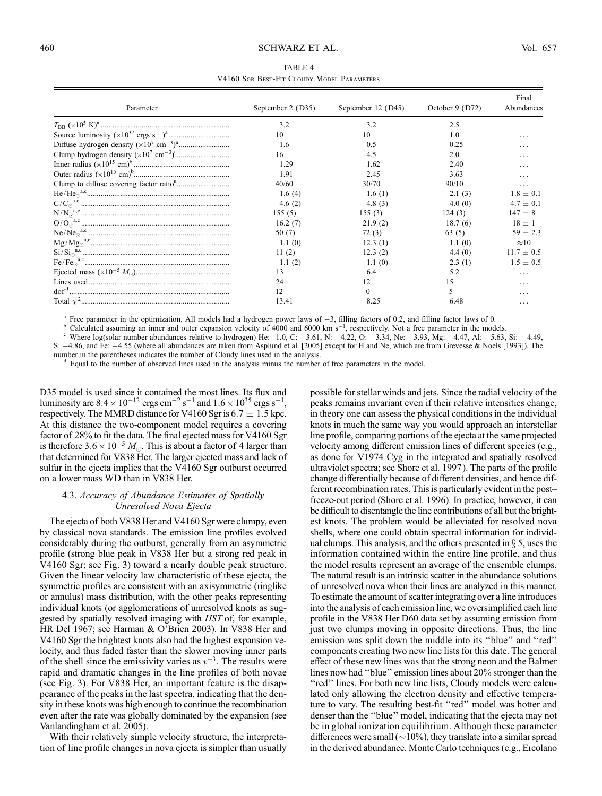| TABLE 4                                    |  |  |  |  |  |  |  |  |  |  |
|--------------------------------------------|--|--|--|--|--|--|--|--|--|--|
| V4160 SGR BEST-FIT CLOUDY MODEL PARAMETERS |  |  |  |  |  |  |  |  |  |  |

| Parameter | September 2 (D35) | September 12 (D45) | October 9 (D72) | Final<br>Abundances |
|-----------|-------------------|--------------------|-----------------|---------------------|
|           | 3.2               | 3.2                | 2.5             |                     |
|           | 10                | 10                 | 1.0             | .                   |
|           | 1.6               | 0.5                | 0.25            | .                   |
|           | 16                | 4.5                | 2.0             | .                   |
|           | 1.29              | 1.62               | 2.40            | .                   |
|           | 191               | 2.45               | 3.63            |                     |
|           | 40/60             | 30/70              | 90/10           | .                   |
|           | 1.6 $(4)$         | 1.6(1)             | 2.1(3)          | $1.8 + 0.1$         |
|           | 4.6 $(2)$         | 4.8 $(3)$          | 4.0(0)          | $4.7 \pm 0.1$       |
|           | 155(5)            | 155(3)             | 124(3)          | $147 \pm 8$         |
|           | 16.2(7)           | 21.9(2)            | 18.7(6)         | $18 \pm 1$          |
|           | 50(7)             | 72 (3)             | 63(5)           | $59 + 2.3$          |
|           | 1.1(0)            | 12.3(1)            | 1.1(0)          | $\approx 10$        |
|           | 11(2)             | 12.3(2)            | 4.4(0)          | $11.7 \pm 0.5$      |
|           | 1.1(2)            | 1.1(0)             | 2.3(1)          | $1.5 + 0.5$         |
|           | 13                | 6.4                | 5.2             | $\cdots$            |
|           | 24                | 12                 | 15              | .                   |
|           | 12                |                    | 5               | .                   |
|           | 13.41             | 8.25               | 6.48            | .                   |

<sup>a</sup> Free parameter in the optimization. All models had a hydrogen power laws of  $-3$ , filling factors of 0.2, and filling factor laws of 0.<br><sup>b</sup> Calculated assuming an inner and outer expansion velocity of 4000 and 6000 km

Where log(solar number abundances relative to hydrogen) He: $-1.0$ , C:  $-3.61$ , N:  $-4.22$ , O:  $-3.34$ , Ne:  $-3.93$ , Mg:  $-4.47$ , Al:  $-5.63$ , Si:  $-4.49$ , S:  $-4.86$ , and Fe:  $-4.55$  (where all abundances are taken from Asplund et al. [2005] except for H and Ne, which are from Grevesse & Noels [1993]). The

number in the parentheses indicates the number of Cloudy lines used in the analysis.<br>d Equal to the number of observed lines used in the analysis minus the number of free parameters in the model.

D35 model is used since it contained the most lines. Its flux and luminosity are  $8.4 \times 10^{-12}$  ergs cm<sup>-2</sup> s<sup>-1</sup> and  $1.6 \times 10^{35}$  ergs s<sup>-1</sup> , respectively. The MMRD distance for V4160 Sgr is  $6.7 \pm 1.5$  kpc. At this distance the two-component model requires a covering factor of 28% to fit the data. The final ejected mass for V4160 Sgr is therefore  $3.6 \times 10^{-5} M_{\odot}$ . This is about a factor of 4 larger than that determined for V838 Her. The larger ejected mass and lack of sulfur in the ejecta implies that the V4160 Sgr outburst occurred on a lower mass WD than in V838 Her.

#### 4.3. Accuracy of Abundance Estimates of Spatially Unresolved Nova Ejecta

The ejecta of both V838 Her and V4160 Sgr were clumpy, even by classical nova standards. The emission line profiles evolved considerably during the outburst, generally from an asymmetric profile (strong blue peak in V838 Her but a strong red peak in V4160 Sgr; see Fig. 3) toward a nearly double peak structure. Given the linear velocity law characteristic of these ejecta, the symmetric profiles are consistent with an axisymmetric (ringlike or annulus) mass distribution, with the other peaks representing individual knots (or agglomerations of unresolved knots as suggested by spatially resolved imaging with HST of, for example, HR Del 1967; see Harman & O'Brien 2003). In V838 Her and V4160 Sgr the brightest knots also had the highest expansion velocity, and thus faded faster than the slower moving inner parts of the shell since the emissivity varies as  $v^{-3}$ . The results were rapid and dramatic changes in the line profiles of both novae (see Fig. 3). For V838 Her, an important feature is the disappearance of the peaks in the last spectra, indicating that the density in these knots was high enough to continue the recombination even after the rate was globally dominated by the expansion (see Vanlandingham et al. 2005).

With their relatively simple velocity structure, the interpretation of line profile changes in nova ejecta is simpler than usually possible for stellar winds and jets. Since the radial velocity of the peaks remains invariant even if their relative intensities change, in theory one can assess the physical conditions in the individual knots in much the same way you would approach an interstellar line profile, comparing portions of the ejecta at the same projected velocity among different emission lines of different species (e.g., as done for V1974 Cyg in the integrated and spatially resolved ultraviolet spectra; see Shore et al. 1997 ). The parts of the profile change differentially because of different densities, and hence different recombination rates. This is particularly evident in the postfreeze-out period (Shore et al. 1996). In practice, however, it can be difficult to disentangle the line contributions of all but the brightest knots. The problem would be alleviated for resolved nova shells, where one could obtain spectral information for individual clumps. This analysis, and the others presented in  $\S$  5, uses the information contained within the entire line profile, and thus the model results represent an average of the ensemble clumps. The natural result is an intrinsic scatter in the abundance solutions of unresolved nova when their lines are analyzed in this manner. To estimate the amount of scatter integrating over a line introduces into the analysis of each emission line, we oversimplified each line profile in the V838 Her D60 data set by assuming emission from just two clumps moving in opposite directions. Thus, the line emission was split down the middle into its ''blue'' and ''red'' components creating two new line lists for this date. The general effect of these new lines was that the strong neon and the Balmer lines now had ''blue'' emission lines about 20% stronger than the "red" lines. For both new line lists, Cloudy models were calculated only allowing the electron density and effective temperature to vary. The resulting best-fit "red" model was hotter and denser than the ''blue'' model, indicating that the ejecta may not be in global ionization equilibrium. Although these parameter differences were small ( $\sim$ 10%), they translate into a similar spread in the derived abundance. Monte Carlo techniques (e.g., Ercolano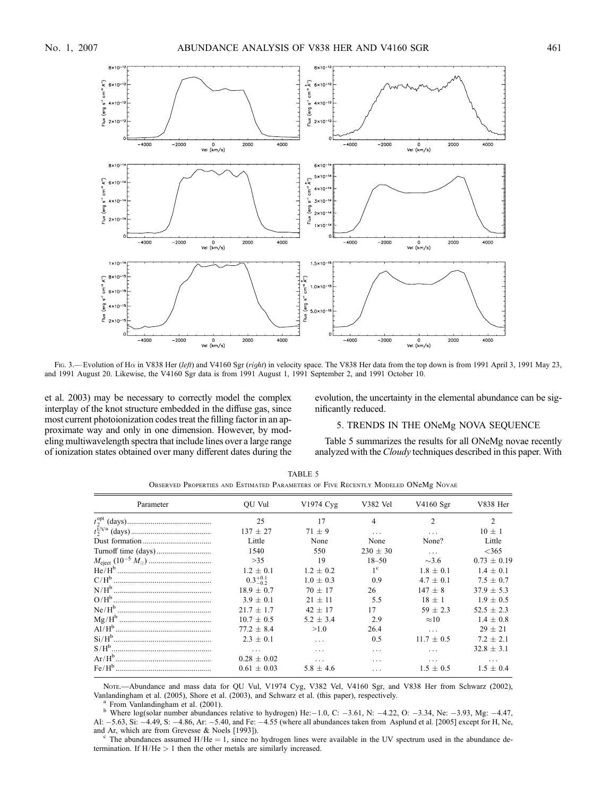

Fig. 3.—Evolution of Ha in V838 Her (left) and V4160 Sgr (right) in velocity space. The V838 Her data from the top down is from 1991 April 3, 1991 May 23, and 1991 August 20. Likewise, the V4160 Sgr data is from 1991 August 1, 1991 September 2, and 1991 October 10.

et al. 2003) may be necessary to correctly model the complex interplay of the knot structure embedded in the diffuse gas, since most current photoionization codes treat the filling factor in an approximate way and only in one dimension. However, by modeling multiwavelength spectra that include lines over a large range of ionization states obtained over many different dates during the evolution, the uncertainty in the elemental abundance can be significantly reduced.

## 5. TRENDS IN THE ONeMg NOVA SEQUENCE

Table 5 summarizes the results for all ONeMg novae recently analyzed with the Cloudy techniques described in this paper. With

| Parameter | OU Vul              | V1974 Cyg     | V382 Vel     | V4160 Sgr      | V838 Her       |
|-----------|---------------------|---------------|--------------|----------------|----------------|
|           |                     |               |              |                |                |
|           | 25                  | 17            | 4            | $\mathfrak{D}$ | $\mathfrak{D}$ |
|           | $137 + 27$          | $71 + 9$      | $\cdots$     |                | $10 + 1$       |
|           | Little              | None          | None         | None?          | Little         |
|           | 1540                | 550           | $230 \pm 30$ | $\cdots$       | <365           |
|           | >35                 | 19            | $18 - 50$    | $\sim$ 3.6     | $0.73 + 0.19$  |
|           | $1.2 \pm 0.1$       | $1.2 \pm 0.2$ | $1^{\circ}$  | $1.8 \pm 0.1$  | $1.4 \pm 0.1$  |
|           | $0.3^{+0.1}_{-0.2}$ | $1.0 \pm 0.3$ | 0.9          | $4.7 + 0.1$    | $7.5 \pm 0.7$  |
|           | $18.9 + 0.7$        | $70 + 17$     | 26           | $147 + 8$      | $37.9 + 5.3$   |
|           | $3.9 + 0.1$         | $21 \pm 11$   | 5.5          | $18 + 1$       | $1.9 + 0.5$    |
|           | $21.7 + 1.7$        | $42 + 17$     | 17           | $59 + 2.3$     | $52.5 \pm 2.3$ |
|           | $10.7 + 0.5$        | $5.2 \pm 3.4$ | 2.9          | $\approx 10$   | $1.4 \pm 0.8$  |
|           | $77.2 + 8.4$        | >1.0          | 26.4         | $\cdots$       | $29 + 21$      |
|           | $2.3 \pm 0.1$       | .             | 0.5          | $11.7 \pm 0.5$ | $7.2 + 2.1$    |
|           | .                   | .             | .            |                | $32.8 \pm 3.1$ |
|           | $0.28 + 0.02$       |               | .            | .              | .              |
|           | $0.61 \pm 0.03$     | $5.8 \pm 4.6$ |              | $1.5 + 0.5$    | $1.5 + 0.4$    |

TABLE 5 Observed Properties and Estimated Parameters of Five Recently Modeled ONeMg Novae

Nore.—Abundance and mass data for QU Vul, V1974 Cyg, V382 Vel, V4160 Sgr, and V838 Her from Schwarz (2002), Vanlandingham et al. (2005), Shore et al. (2003), and Schwarz et al. (this paper), respectively.

<sup>a</sup> From Vanlandingham et al. (2001).<br><sup>b</sup> Where log(solar number abundances relative to hydrogen) He: -1.0, C: -3.61, N: -4.22, O: -3.34, Ne: -3.93, Mg: -4.47, Al: -5.63, Si: -4.49, S: -4.86, Ar: -5.40, and Fe: -4.55 (where all abundances taken from Asplund et al. [2005] except for H, Ne, and Ar, which are from Grevesse & Noels [1993]). c The abundances assumed H/He = 1, since no hydrogen lines were available in the UV spectrum used in the abundance de-

termination. If  $H/He > 1$  then the other metals are similarly increased.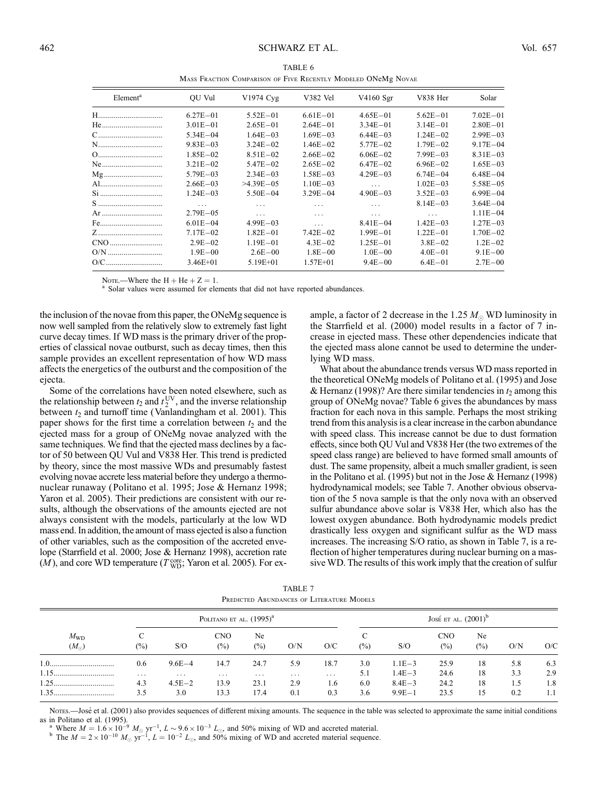|                                     |                                                               | TABLE 6 |         |                |
|-------------------------------------|---------------------------------------------------------------|---------|---------|----------------|
|                                     | MASS FRACTION COMPARISON OF FIVE RECENTLY MODELED ONEME NOVAE |         |         |                |
| $\bigcap$ T T T $\bigcap$ $\bigcap$ | $\frac{1}{11074}$                                             | 1720211 | TTA1CAC | <b>17020 T</b> |

| Element <sup>a</sup> | OU Vul       | V1974 Cyg    | V382 Vel     | V4160 Sgr    | V838 Her     | Solar        |
|----------------------|--------------|--------------|--------------|--------------|--------------|--------------|
| H………………………………        | $6.27E - 01$ | $5.52E - 01$ | $6.61E - 01$ | $4.65E - 01$ | $5.62E - 01$ | $7.02E - 01$ |
| He                   | $3.01E - 01$ | $2.65E - 01$ | $2.64E - 01$ | $3.34E - 01$ | $3.14E - 01$ | $2.80E - 01$ |
| C                    | $5.34E - 04$ | $1.64E - 03$ | $1.69E - 03$ | $6.44E - 03$ | $1.24E - 02$ | $2.99E - 03$ |
| N                    | $9.83E - 03$ | $3.24E - 02$ | $1.46E - 02$ | $5.77E - 02$ | $1.79E - 02$ | $9.17E - 04$ |
| 0                    | $1.85E - 02$ | $8.51E - 02$ | $2.66E - 02$ | $6.06E - 02$ | $7.99E - 03$ | $8.31E - 03$ |
| Ne                   | $3.21E - 02$ | $5.47E - 02$ | $2.65E - 02$ | $6.47E - 02$ | $6.96E - 02$ | $1.65E - 03$ |
| Mg                   | $5.79E - 03$ | $2.34E - 03$ | $1.58E - 03$ | $4.29E - 03$ | $6.74E - 04$ | $6.48E - 04$ |
| Al……………………………        | $2.66E - 03$ | $>4.39E-05$  | $1.10E - 03$ | .            | $1.02E - 03$ | $5.58E - 05$ |
| Si                   | $1.24E - 03$ | $5.50E - 04$ | $3.29E - 04$ | $4.90E - 03$ | $3.52E - 03$ | $6.99E - 04$ |
| S                    | .            | .            | .            | .            | $8.14E - 03$ | $3.64E - 04$ |
| Ar                   | $2.79E - 05$ | .            | .            | $\cdot$      | .            | $1.11E - 04$ |
| Fe                   | $6.01E - 04$ | $4.99E - 03$ | .            | $8.41E - 04$ | $1.42E - 03$ | $1.27E - 03$ |
|                      | $7.17E - 02$ | $1.82E - 01$ | $7.42E - 02$ | $1.99E - 01$ | $1.22E - 01$ | $1.70E - 02$ |
| CNO                  | $2.9E - 02$  | $1.19E - 01$ | $4.3E - 02$  | $1.25E - 01$ | $3.8E - 02$  | $1.2E - 02$  |
| $O/N$                | $1.9E - 00$  | $2.6E - 00$  | $1.8E - 00$  | $1.0E - 00$  | $4.0E - 01$  | $9.1E - 00$  |
| O/C                  | $3.46E + 01$ | $5.19E + 01$ | $1.57E + 01$ | $9.4E - 00$  | $6.4E - 01$  | $2.7E - 00$  |
|                      |              |              |              |              |              |              |

Note.—Where the H + He + Z = 1.<br><sup>a</sup> Solar values were assumed for elements that did not have reported abundances.

the inclusion of the novae from this paper, the ONeMg sequence is now well sampled from the relatively slow to extremely fast light curve decay times. If WD mass is the primary driver of the properties of classical novae outburst, such as decay times, then this sample provides an excellent representation of how WD mass affects the energetics of the outburst and the composition of the ejecta.

Some of the correlations have been noted elsewhere, such as the relationship between  $t_2$  and  $t_2^{\text{UV}}$ , and the inverse relationship between  $t_2$  and turnoff time (Vanlandingham et al. 2001). This paper shows for the first time a correlation between  $t_2$  and the ejected mass for a group of ONeMg novae analyzed with the same techniques. We find that the ejected mass declines by a factor of 50 between QU Vul and V838 Her. This trend is predicted by theory, since the most massive WDs and presumably fastest evolving novae accrete less material before they undergo a thermonuclear runaway (Politano et al. 1995; Jose & Hernanz 1998; Yaron et al. 2005). Their predictions are consistent with our results, although the observations of the amounts ejected are not always consistent with the models, particularly at the low WD mass end. In addition, the amount of mass ejected is also a function of other variables, such as the composition of the accreted envelope (Starrfield et al. 2000; Jose & Hernanz 1998), accretion rate  $(M)$ , and core WD temperature ( $T_{\text{WD}}^{\text{core}}$ ; Yaron et al. 2005). For example, a factor of 2 decrease in the 1.25  $M_{\odot}$  WD luminosity in the Starrfield et al. (2000) model results in a factor of 7 increase in ejected mass. These other dependencies indicate that the ejected mass alone cannot be used to determine the underlying WD mass.

What about the abundance trends versus WD mass reported in the theoretical ONeMg models of Politano et al. (1995) and Jose & Hernanz (1998)? Are there similar tendencies in  $t_2$  among this group of ONeMg novae? Table 6 gives the abundances by mass fraction for each nova in this sample. Perhaps the most striking trend from this analysis is a clear increase in the carbon abundance with speed class. This increase cannot be due to dust formation effects, since both QU Vul and V838 Her (the two extremes of the speed class range) are believed to have formed small amounts of dust. The same propensity, albeit a much smaller gradient, is seen in the Politano et al. (1995) but not in the Jose & Hernanz (1998) hydrodynamical models; see Table 7. Another obvious observation of the 5 nova sample is that the only nova with an observed sulfur abundance above solar is V838 Her, which also has the lowest oxygen abundance. Both hydrodynamic models predict drastically less oxygen and significant sulfur as the WD mass increases. The increasing S/O ratio, as shown in Table 7, is a reflection of higher temperatures during nuclear burning on a massive WD. The results of this work imply that the creation of sulfur

TABLE 7 Predicted Abundances of Literature Models

| $M_{\rm WD}$<br>$(M_{\odot})$ |             |            | POLITANO ET AL. $(1995)^{a}$ |              |          |          |        |            | JOSÉ ET AL. $(2001)^{6}$     |              |     |     |
|-------------------------------|-------------|------------|------------------------------|--------------|----------|----------|--------|------------|------------------------------|--------------|-----|-----|
|                               | C<br>$(\%)$ | S/O        | <b>CNO</b><br>$(\%)$         | Ne<br>$(\%)$ | O/N      | O/C      | $(\%)$ | S/O        | <b>CNO</b><br>$\binom{0}{0}$ | Ne<br>$(\%)$ | O/N | O/C |
|                               | 0.6         | $9.6E - 4$ | 14.7                         | 24.7         | 5.9      | 18.7     | 3.0    | $1.1E - 3$ | 25.9                         | 18           | 5.8 | 6.3 |
|                               | $\cdots$    | $\cdots$   | $\cdots$                     | $\cdots$     | $\cdots$ | $\cdots$ | 5.1    | $1.4E - 3$ | 24.6                         | 18           | 3.3 | 2.9 |
|                               | 4.3         | $4.5E - 2$ | 13.9                         | 23.1         | 2.9      | 1.6      | 6.0    | $8.4E - 3$ | 24.2                         | 18           | 1.5 | 1.8 |
|                               | 3.5         | 3.0        | 13.3                         | 17.4         | 0.1      | 0.3      | 3.6    | $9.9E - 1$ | 23.5                         | 15           | 0.2 | 1.1 |

Notes.—José et al. (2001) also provides sequences of different mixing amounts. The sequence in the table was selected to approximate the same initial conditions

as in Politano et al. (1995).<br>
<sup>a</sup> Where  $M = 1.6 \times 10^{-9} M_{\odot} \text{ yr}^{-1}$ ,  $L \sim 9.6 \times 10^{-3} L_{\odot}$ , and 50% mixing of WD and accreted material.<br>
<sup>b</sup> The  $M = 2 \times 10^{-10} M_{\odot} \text{ yr}^{-1}$ ,  $L = 10^{-2} L_{\odot}$ , and 50% mixing of WD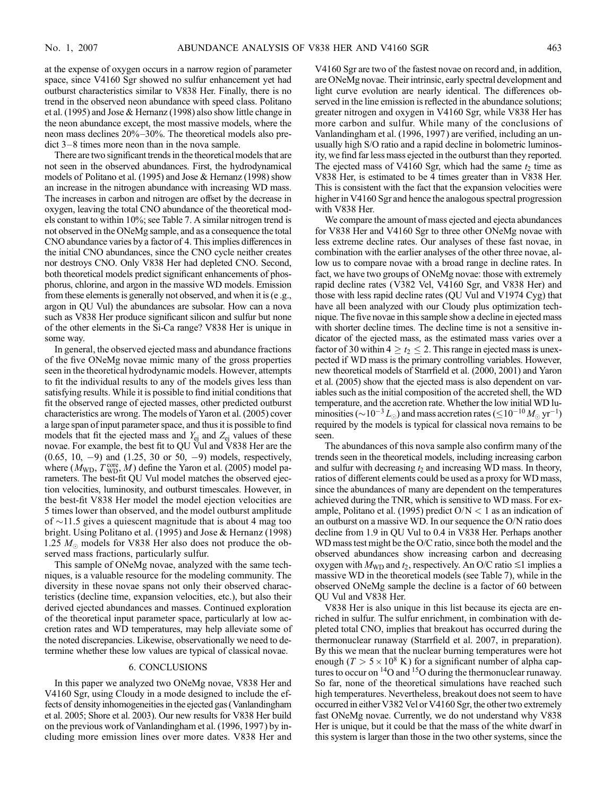at the expense of oxygen occurs in a narrow region of parameter space, since V4160 Sgr showed no sulfur enhancement yet had outburst characteristics similar to V838 Her. Finally, there is no trend in the observed neon abundance with speed class. Politano et al. (1995) and Jose & Hernanz (1998) also show little change in the neon abundance except, the most massive models, where the neon mass declines  $20\% - 30\%$ . The theoretical models also pre $dict 3-8$  times more neon than in the nova sample.

There are two significant trends in the theoretical models that are not seen in the observed abundances. First, the hydrodynamical models of Politano et al. (1995) and Jose & Hernanz (1998) show an increase in the nitrogen abundance with increasing WD mass. The increases in carbon and nitrogen are offset by the decrease in oxygen, leaving the total CNO abundance of the theoretical models constant to within 10%; see Table 7. A similar nitrogen trend is not observed in the ONeMg sample, and as a consequence the total CNO abundance varies by a factor of 4. This implies differences in the initial CNO abundances, since the CNO cycle neither creates nor destroys CNO. Only V838 Her had depleted CNO. Second, both theoretical models predict significant enhancements of phosphorus, chlorine, and argon in the massive WD models. Emission from these elements is generally not observed, and when it is (e .g., argon in QU Vul) the abundances are subsolar. How can a nova such as V838 Her produce significant silicon and sulfur but none of the other elements in the Si-Ca range? V838 Her is unique in some way.

In general, the observed ejected mass and abundance fractions of the five ONeMg novae mimic many of the gross properties seen in the theoretical hydrodynamic models. However, attempts to fit the individual results to any of the models gives less than satisfying results. While it is possible to find initial conditions that fit the observed range of ejected masses, other predicted outburst characteristics are wrong. The models of Yaron et al. (2005) cover a large span of input parameter space, and thus it is possible to find models that fit the ejected mass and  $Y_{ej}$  and  $Z_{ej}$  values of these novae. For example, the best fit to QU Vul and V838 Her are the  $(0.65, 10, -9)$  and  $(1.25, 30 \text{ or } 50, -9)$  models, respectively, where  $(M_{\text{WD}}, T_{\text{WD}}^{\text{core}}, M)$  define the Yaron et al. (2005) model parameters. The best-fit QU Vul model matches the observed ejection velocities, luminosity, and outburst timescales. However, in the best-fit V838 Her model the model ejection velocities are 5 times lower than observed, and the model outburst amplitude of  $\sim$ 11.5 gives a quiescent magnitude that is about 4 mag too bright. Using Politano et al. (1995) and Jose & Hernanz (1998) 1.25  $M_{\odot}$  models for V838 Her also does not produce the observed mass fractions, particularly sulfur.

This sample of ONeMg novae, analyzed with the same techniques, is a valuable resource for the modeling community. The diversity in these novae spans not only their observed characteristics (decline time, expansion velocities, etc.), but also their derived ejected abundances and masses. Continued exploration of the theoretical input parameter space, particularly at low accretion rates and WD temperatures, may help alleviate some of the noted discrepancies. Likewise, observationally we need to determine whether these low values are typical of classical novae.

#### 6. CONCLUSIONS

In this paper we analyzed two ONeMg novae, V838 Her and V4160 Sgr, using Cloudy in a mode designed to include the effects of density inhomogeneities in the ejected gas (Vanlandingham et al. 2005; Shore et al. 2003). Our new results for V838 Her build on the previous work of Vanlandingham et al. (1996, 1997 ) by including more emission lines over more dates. V838 Her and V4160 Sgr are two of the fastest novae on record and, in addition, are ONeMg novae. Their intrinsic, early spectral development and light curve evolution are nearly identical. The differences observed in the line emission is reflected in the abundance solutions; greater nitrogen and oxygen in V4160 Sgr, while V838 Her has more carbon and sulfur. While many of the conclusions of Vanlandingham et al. (1996, 1997 ) are verified, including an unusually high S/O ratio and a rapid decline in bolometric luminosity, we find far less mass ejected in the outburst than they reported. The ejected mass of V4160 Sgr, which had the same  $t_2$  time as V838 Her, is estimated to be 4 times greater than in V838 Her. This is consistent with the fact that the expansion velocities were higher in V4160 Sgr and hence the analogous spectral progression with V838 Her.

We compare the amount of mass ejected and ejecta abundances for V838 Her and V4160 Sgr to three other ONeMg novae with less extreme decline rates. Our analyses of these fast novae, in combination with the earlier analyses of the other three novae, allow us to compare novae with a broad range in decline rates. In fact, we have two groups of ONeMg novae: those with extremely rapid decline rates (V382 Vel, V4160 Sgr, and V838 Her) and those with less rapid decline rates (QU Vul and V1974 Cyg) that have all been analyzed with our Cloudy plus optimization technique. The five novae in this sample show a decline in ejected mass with shorter decline times. The decline time is not a sensitive indicator of the ejected mass, as the estimated mass varies over a factor of 30 within  $4 \ge t_2 \le 2$ . This range in ejected mass is unexpected if WD mass is the primary controlling variables. However, new theoretical models of Starrfield et al. (2000, 2001) and Yaron et al. (2005) show that the ejected mass is also dependent on variables such as the initial composition of the accreted shell, the WD temperature, and the accretion rate. Whether the low initial WD luminosities ( $\sim$   $10^{-3}$   $L_{\odot}$ ) and mass accretion rates ( $\le$   $10^{-10}$   $M_{\odot}$   $\rm{yr}^{-1})$ required by the models is typical for classical nova remains to be seen.

The abundances of this nova sample also confirm many of the trends seen in the theoretical models, including increasing carbon and sulfur with decreasing  $t_2$  and increasing WD mass. In theory, ratios of different elements could be used as a proxy for WD mass, since the abundances of many are dependent on the temperatures achieved during the TNR, which is sensitive to WD mass. For example, Politano et al. (1995) predict  $O/N < 1$  as an indication of an outburst on a massive WD. In our sequence the O/N ratio does decline from 1.9 in QU Vul to 0.4 in V838 Her. Perhaps another WD mass test might be the O/C ratio, since both the model and the observed abundances show increasing carbon and decreasing oxygen with  $M_{WD}$  and  $t_2$ , respectively. An O/C ratio  $\leq 1$  implies a massive WD in the theoretical models (see Table 7), while in the observed ONeMg sample the decline is a factor of 60 between QU Vul and V838 Her.

V838 Her is also unique in this list because its ejecta are enriched in sulfur. The sulfur enrichment, in combination with depleted total CNO, implies that breakout has occurred during the thermonuclear runaway (Starrfield et al. 2007, in preparation). By this we mean that the nuclear burning temperatures were hot enough ( $T > 5 \times 10^8$  K) for a significant number of alpha captures to occur on  $^{14}$ O and  $^{15}$ O during the thermonuclear runaway. So far, none of the theoretical simulations have reached such high temperatures. Nevertheless, breakout does not seem to have occurred in either V382 Vel or V4160 Sgr, the other two extremely fast ONeMg novae. Currently, we do not understand why V838 Her is unique, but it could be that the mass of the white dwarf in this system is larger than those in the two other systems, since the